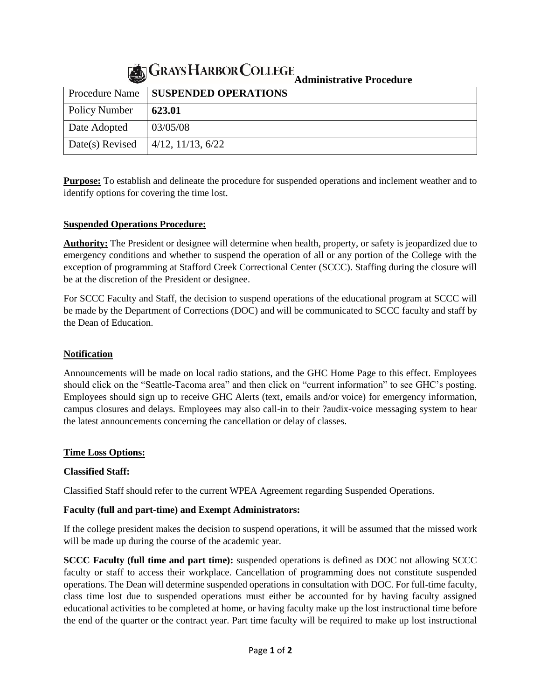# **Administrative Procedure**

|                      | Auninistrative i roccutire            |
|----------------------|---------------------------------------|
|                      | Procedure Name   SUSPENDED OPERATIONS |
| <b>Policy Number</b> | 623.01                                |
| Date Adopted         | 03/05/08                              |
| Date(s) Revised      | $4/12$ , $11/13$ , $6/22$             |

**Purpose:** To establish and delineate the procedure for suspended operations and inclement weather and to identify options for covering the time lost.

#### **Suspended Operations Procedure:**

**Authority:** The President or designee will determine when health, property, or safety is jeopardized due to emergency conditions and whether to suspend the operation of all or any portion of the College with the exception of programming at Stafford Creek Correctional Center (SCCC). Staffing during the closure will be at the discretion of the President or designee.

For SCCC Faculty and Staff, the decision to suspend operations of the educational program at SCCC will be made by the Department of Corrections (DOC) and will be communicated to SCCC faculty and staff by the Dean of Education.

#### **Notification**

Announcements will be made on local radio stations, and the GHC Home Page to this effect. Employees should click on the "Seattle-Tacoma area" and then click on "current information" to see GHC's posting. Employees should sign up to receive GHC Alerts (text, emails and/or voice) for emergency information, campus closures and delays. Employees may also call-in to their ?audix-voice messaging system to hear the latest announcements concerning the cancellation or delay of classes.

#### **Time Loss Options:**

#### **Classified Staff:**

Classified Staff should refer to the current WPEA Agreement regarding Suspended Operations.

#### **Faculty (full and part-time) and Exempt Administrators:**

If the college president makes the decision to suspend operations, it will be assumed that the missed work will be made up during the course of the academic year.

**SCCC Faculty (full time and part time):** suspended operations is defined as DOC not allowing SCCC faculty or staff to access their workplace. Cancellation of programming does not constitute suspended operations. The Dean will determine suspended operations in consultation with DOC. For full-time faculty, class time lost due to suspended operations must either be accounted for by having faculty assigned educational activities to be completed at home, or having faculty make up the lost instructional time before the end of the quarter or the contract year. Part time faculty will be required to make up lost instructional